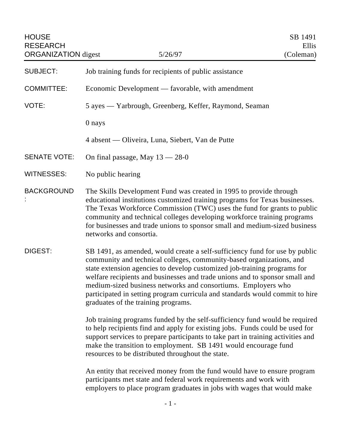| <b>SUBJECT:</b>     | Job training funds for recipients of public assistance                                                                                                                                                                                                                                                                                                                                                                                                                                                 |
|---------------------|--------------------------------------------------------------------------------------------------------------------------------------------------------------------------------------------------------------------------------------------------------------------------------------------------------------------------------------------------------------------------------------------------------------------------------------------------------------------------------------------------------|
| <b>COMMITTEE:</b>   | Economic Development — favorable, with amendment                                                                                                                                                                                                                                                                                                                                                                                                                                                       |
| VOTE:               | 5 ayes — Yarbrough, Greenberg, Keffer, Raymond, Seaman                                                                                                                                                                                                                                                                                                                                                                                                                                                 |
|                     | 0 nays                                                                                                                                                                                                                                                                                                                                                                                                                                                                                                 |
|                     | 4 absent — Oliveira, Luna, Siebert, Van de Putte                                                                                                                                                                                                                                                                                                                                                                                                                                                       |
| <b>SENATE VOTE:</b> | On final passage, May $13 - 28 - 0$                                                                                                                                                                                                                                                                                                                                                                                                                                                                    |
| <b>WITNESSES:</b>   | No public hearing                                                                                                                                                                                                                                                                                                                                                                                                                                                                                      |
| <b>BACKGROUND</b>   | The Skills Development Fund was created in 1995 to provide through<br>educational institutions customized training programs for Texas businesses.<br>The Texas Workforce Commission (TWC) uses the fund for grants to public<br>community and technical colleges developing workforce training programs<br>for businesses and trade unions to sponsor small and medium-sized business<br>networks and consortia.                                                                                       |
| DIGEST:             | SB 1491, as amended, would create a self-sufficiency fund for use by public<br>community and technical colleges, community-based organizations, and<br>state extension agencies to develop customized job-training programs for<br>welfare recipients and businesses and trade unions and to sponsor small and<br>medium-sized business networks and consortiums. Employers who<br>participated in setting program curricula and standards would commit to hire<br>graduates of the training programs. |
|                     | Job training programs funded by the self-sufficiency fund would be required<br>to help recipients find and apply for existing jobs. Funds could be used for<br>support services to prepare participants to take part in training activities and<br>make the transition to employment. SB 1491 would encourage fund<br>resources to be distributed throughout the state.                                                                                                                                |

An entity that received money from the fund would have to ensure program participants met state and federal work requirements and work with employers to place program graduates in jobs with wages that would make